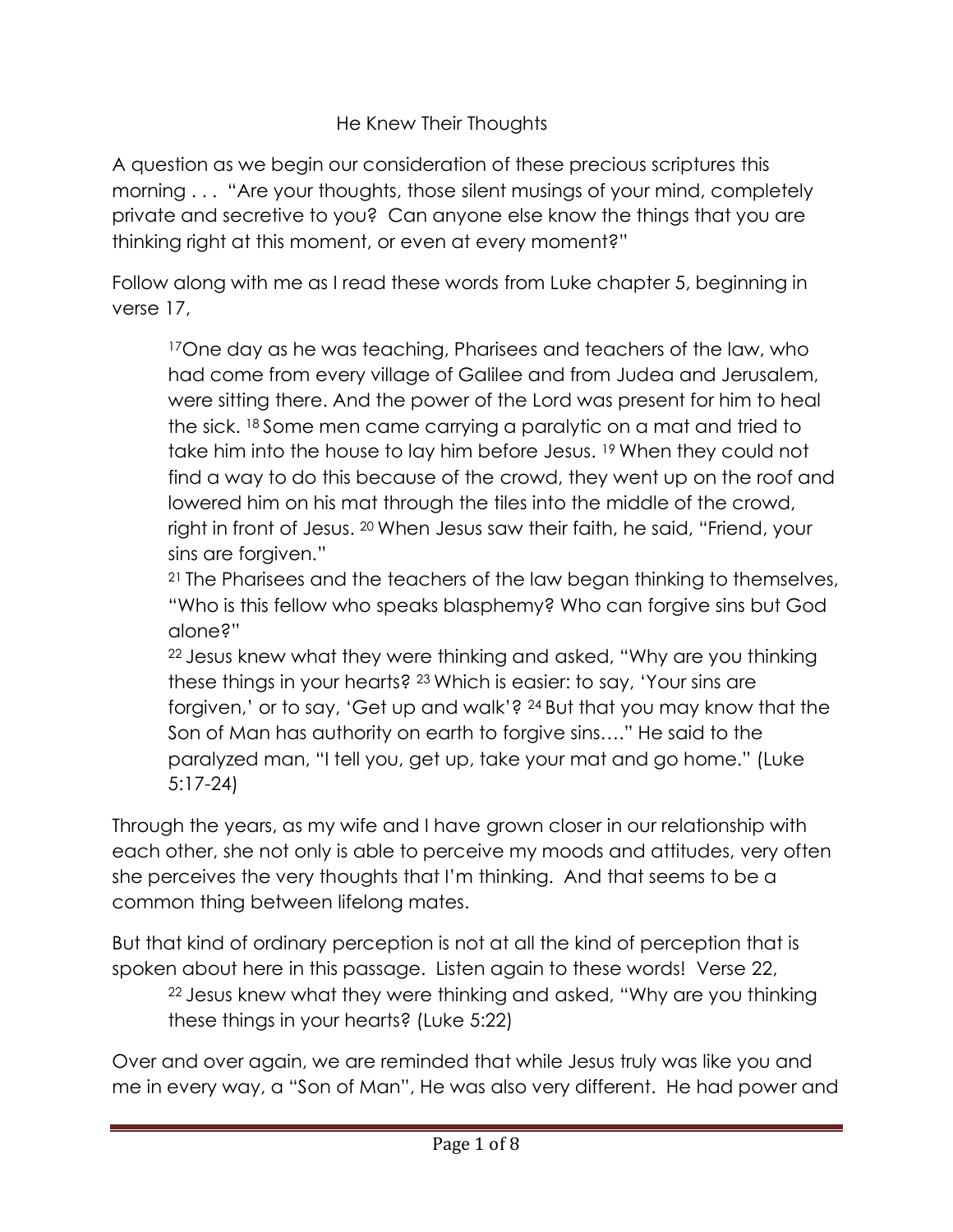## He Knew Their Thoughts

A question as we begin our consideration of these precious scriptures this morning . . . "Are your thoughts, those silent musings of your mind, completely private and secretive to you? Can anyone else know the things that you are thinking right at this moment, or even at every moment?"

Follow along with me as I read these words from Luke chapter 5, beginning in verse 17,

<sup>17</sup>One day as he was teaching, Pharisees and teachers of the law, who had come from every village of Galilee and from Judea and Jerusalem, were sitting there. And the power of the Lord was present for him to heal the sick. 18 Some men came carrying a paralytic on a mat and tried to take him into the house to lay him before Jesus. 19 When they could not find a way to do this because of the crowd, they went up on the roof and lowered him on his mat through the tiles into the middle of the crowd, right in front of Jesus. 20 When Jesus saw their faith, he said, "Friend, your sins are forgiven."

<sup>21</sup> The Pharisees and the teachers of the law began thinking to themselves, "Who is this fellow who speaks blasphemy? Who can forgive sins but God alone?"

<sup>22</sup>Jesus knew what they were thinking and asked, "Why are you thinking these things in your hearts? 23 Which is easier: to say, 'Your sins are forgiven,' or to say, 'Get up and walk'? 24 But that you may know that the Son of Man has authority on earth to forgive sins…." He said to the paralyzed man, "I tell you, get up, take your mat and go home." (Luke 5:17-24)

Through the years, as my wife and I have grown closer in our relationship with each other, she not only is able to perceive my moods and attitudes, very often she perceives the very thoughts that I'm thinking. And that seems to be a common thing between lifelong mates.

But that kind of ordinary perception is not at all the kind of perception that is spoken about here in this passage. Listen again to these words! Verse 22, <sup>22</sup>Jesus knew what they were thinking and asked, "Why are you thinking these things in your hearts? (Luke 5:22)

Over and over again, we are reminded that while Jesus truly was like you and me in every way, a "Son of Man", He was also very different. He had power and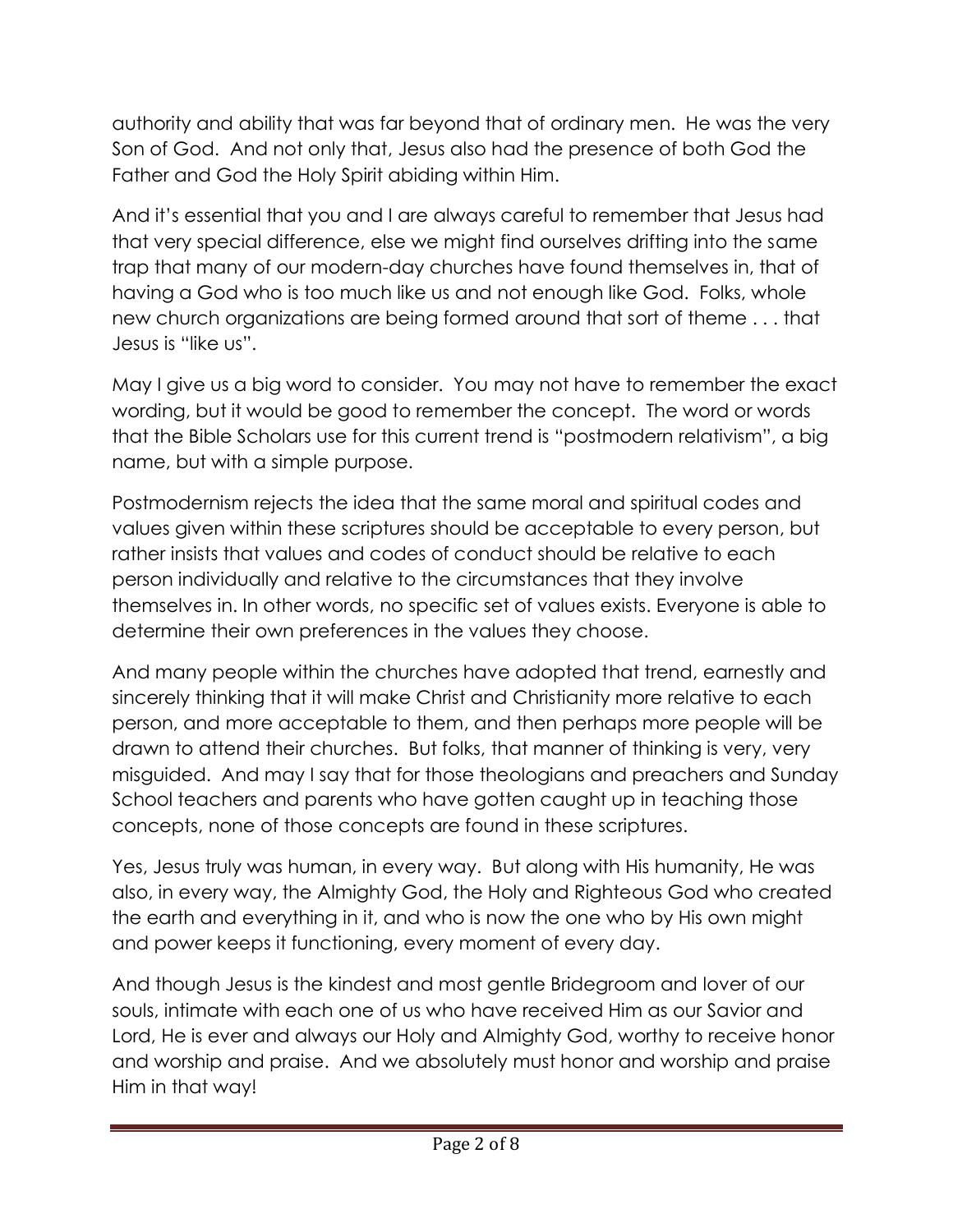authority and ability that was far beyond that of ordinary men. He was the very Son of God. And not only that, Jesus also had the presence of both God the Father and God the Holy Spirit abiding within Him.

And it's essential that you and I are always careful to remember that Jesus had that very special difference, else we might find ourselves drifting into the same trap that many of our modern-day churches have found themselves in, that of having a God who is too much like us and not enough like God. Folks, whole new church organizations are being formed around that sort of theme . . . that Jesus is "like us".

May I give us a big word to consider. You may not have to remember the exact wording, but it would be good to remember the concept. The word or words that the Bible Scholars use for this current trend is "postmodern relativism", a big name, but with a simple purpose.

Postmodernism rejects the idea that the same moral and spiritual codes and values given within these scriptures should be acceptable to every person, but rather insists that values and codes of conduct should be relative to each person individually and relative to the circumstances that they involve themselves in. In other words, no specific set of values exists. Everyone is able to determine their own preferences in the values they choose.

And many people within the churches have adopted that trend, earnestly and sincerely thinking that it will make Christ and Christianity more relative to each person, and more acceptable to them, and then perhaps more people will be drawn to attend their churches. But folks, that manner of thinking is very, very misguided. And may I say that for those theologians and preachers and Sunday School teachers and parents who have gotten caught up in teaching those concepts, none of those concepts are found in these scriptures.

Yes, Jesus truly was human, in every way. But along with His humanity, He was also, in every way, the Almighty God, the Holy and Righteous God who created the earth and everything in it, and who is now the one who by His own might and power keeps it functioning, every moment of every day.

And though Jesus is the kindest and most gentle Bridegroom and lover of our souls, intimate with each one of us who have received Him as our Savior and Lord, He is ever and always our Holy and Almighty God, worthy to receive honor and worship and praise. And we absolutely must honor and worship and praise Him in that way!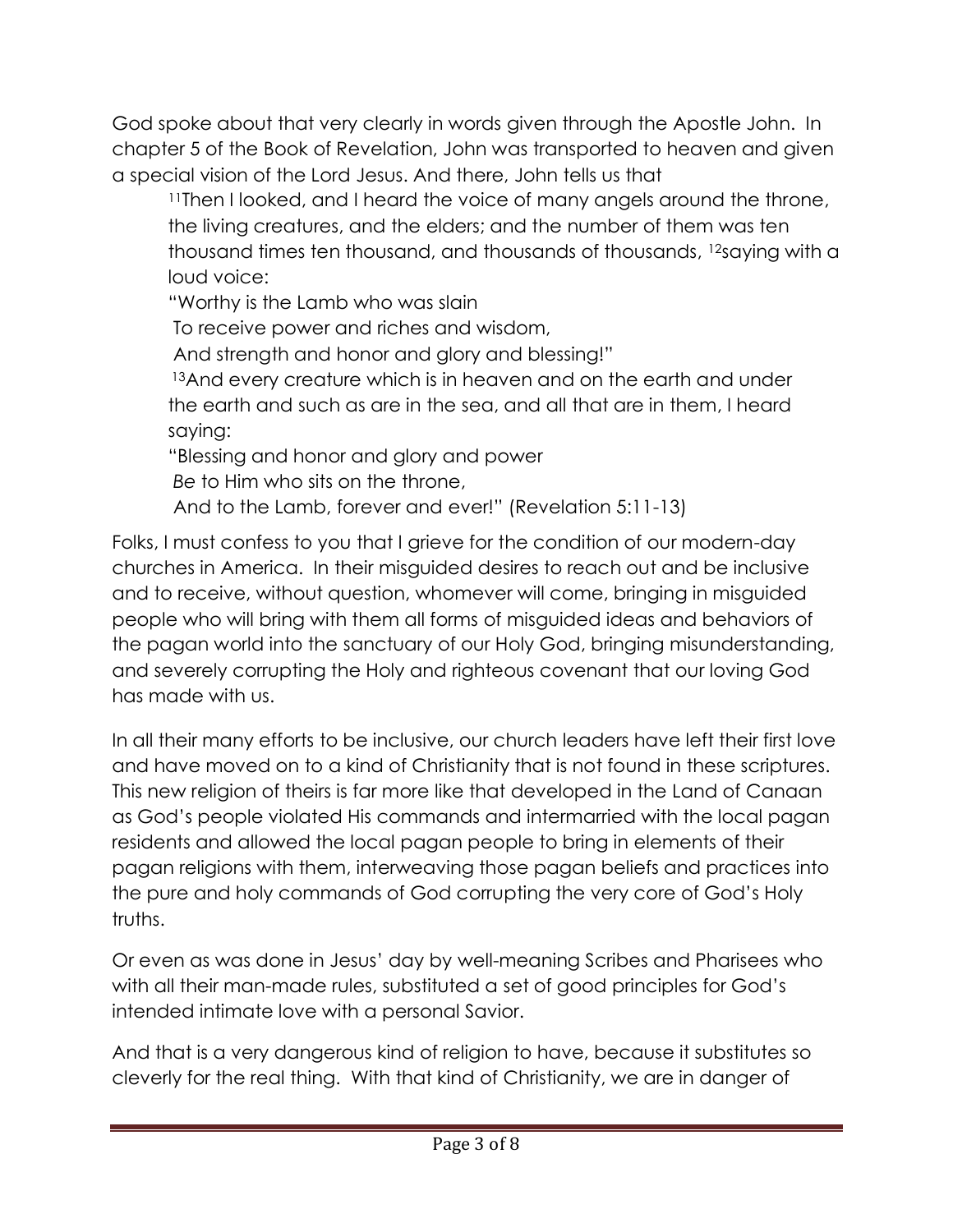God spoke about that very clearly in words given through the Apostle John. In chapter 5 of the Book of Revelation, John was transported to heaven and given a special vision of the Lord Jesus. And there, John tells us that

<sup>11</sup>Then I looked, and I heard the voice of many angels around the throne, the living creatures, and the elders; and the number of them was ten thousand times ten thousand, and thousands of thousands, <sup>12</sup>saying with a loud voice:

"Worthy is the Lamb who was slain

To receive power and riches and wisdom,

And strength and honor and glory and blessing!"

13And every creature which is in heaven and on the earth and under the earth and such as are in the sea, and all that are in them, I heard saying:

"Blessing and honor and glory and power

*Be* to Him who sits on the throne,

And to the Lamb, forever and ever!" (Revelation 5:11-13)

Folks, I must confess to you that I grieve for the condition of our modern-day churches in America. In their misguided desires to reach out and be inclusive and to receive, without question, whomever will come, bringing in misguided people who will bring with them all forms of misguided ideas and behaviors of the pagan world into the sanctuary of our Holy God, bringing misunderstanding, and severely corrupting the Holy and righteous covenant that our loving God has made with us.

In all their many efforts to be inclusive, our church leaders have left their first love and have moved on to a kind of Christianity that is not found in these scriptures. This new religion of theirs is far more like that developed in the Land of Canaan as God's people violated His commands and intermarried with the local pagan residents and allowed the local pagan people to bring in elements of their pagan religions with them, interweaving those pagan beliefs and practices into the pure and holy commands of God corrupting the very core of God's Holy truths.

Or even as was done in Jesus' day by well-meaning Scribes and Pharisees who with all their man-made rules, substituted a set of good principles for God's intended intimate love with a personal Savior.

And that is a very dangerous kind of religion to have, because it substitutes so cleverly for the real thing. With that kind of Christianity, we are in danger of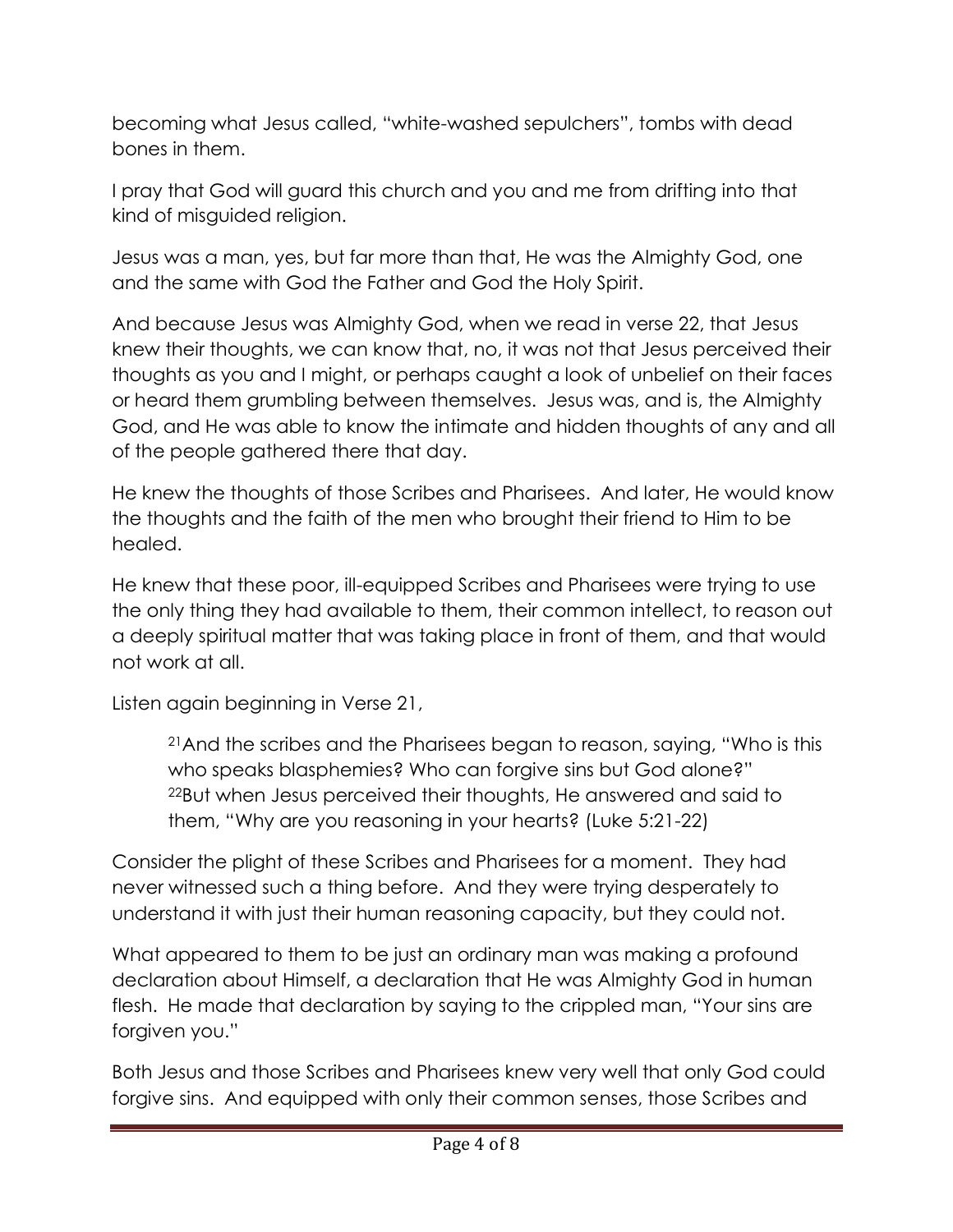becoming what Jesus called, "white-washed sepulchers", tombs with dead bones in them.

I pray that God will guard this church and you and me from drifting into that kind of misguided religion.

Jesus was a man, yes, but far more than that, He was the Almighty God, one and the same with God the Father and God the Holy Spirit.

And because Jesus was Almighty God, when we read in verse 22, that Jesus knew their thoughts, we can know that, no, it was not that Jesus perceived their thoughts as you and I might, or perhaps caught a look of unbelief on their faces or heard them grumbling between themselves. Jesus was, and is, the Almighty God, and He was able to know the intimate and hidden thoughts of any and all of the people gathered there that day.

He knew the thoughts of those Scribes and Pharisees. And later, He would know the thoughts and the faith of the men who brought their friend to Him to be healed.

He knew that these poor, ill-equipped Scribes and Pharisees were trying to use the only thing they had available to them, their common intellect, to reason out a deeply spiritual matter that was taking place in front of them, and that would not work at all.

Listen again beginning in Verse 21,

<sup>21</sup>And the scribes and the Pharisees began to reason, saying, "Who is this who speaks blasphemies? Who can forgive sins but God alone?" <sup>22</sup>But when Jesus perceived their thoughts, He answered and said to them, "Why are you reasoning in your hearts? (Luke 5:21-22)

Consider the plight of these Scribes and Pharisees for a moment. They had never witnessed such a thing before. And they were trying desperately to understand it with just their human reasoning capacity, but they could not.

What appeared to them to be just an ordinary man was making a profound declaration about Himself, a declaration that He was Almighty God in human flesh. He made that declaration by saying to the crippled man, "Your sins are forgiven you."

Both Jesus and those Scribes and Pharisees knew very well that only God could forgive sins. And equipped with only their common senses, those Scribes and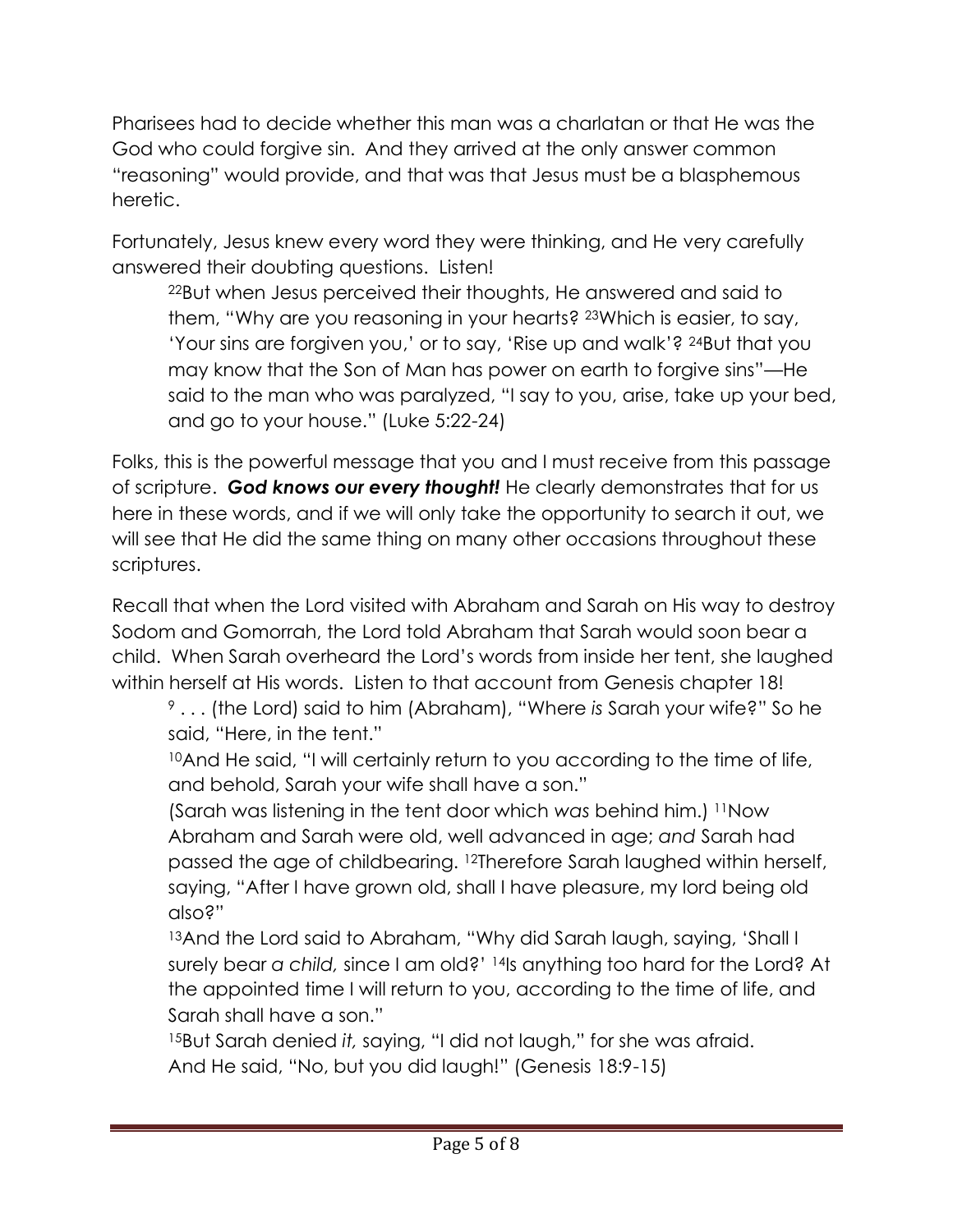Pharisees had to decide whether this man was a charlatan or that He was the God who could forgive sin. And they arrived at the only answer common "reasoning" would provide, and that was that Jesus must be a blasphemous heretic.

Fortunately, Jesus knew every word they were thinking, and He very carefully answered their doubting questions. Listen!

<sup>22</sup>But when Jesus perceived their thoughts, He answered and said to them, "Why are you reasoning in your hearts? <sup>23</sup>Which is easier, to say, 'Your sins are forgiven you,' or to say, 'Rise up and walk'? <sup>24</sup>But that you may know that the Son of Man has power on earth to forgive sins"—He said to the man who was paralyzed, "I say to you, arise, take up your bed, and go to your house." (Luke 5:22-24)

Folks, this is the powerful message that you and I must receive from this passage of scripture. *God knows our every thought!* He clearly demonstrates that for us here in these words, and if we will only take the opportunity to search it out, we will see that He did the same thing on many other occasions throughout these scriptures.

Recall that when the Lord visited with Abraham and Sarah on His way to destroy Sodom and Gomorrah, the Lord told Abraham that Sarah would soon bear a child. When Sarah overheard the Lord's words from inside her tent, she laughed within herself at His words. Listen to that account from Genesis chapter 18!

<sup>9</sup> . . . (the Lord) said to him (Abraham), "Where *is* Sarah your wife?" So he said, "Here, in the tent."

<sup>10</sup>And He said, "I will certainly return to you according to the time of life, and behold, Sarah your wife shall have a son."

(Sarah was listening in the tent door which *was* behind him.) <sup>11</sup>Now Abraham and Sarah were old, well advanced in age; *and* Sarah had passed the age of childbearing. <sup>12</sup>Therefore Sarah laughed within herself, saying, "After I have grown old, shall I have pleasure, my lord being old also?"

13And the Lord said to Abraham, "Why did Sarah laugh, saying, 'Shall I surely bear *a child,* since I am old?' <sup>14</sup>Is anything too hard for the Lord? At the appointed time I will return to you, according to the time of life, and Sarah shall have a son."

<sup>15</sup>But Sarah denied *it,* saying, "I did not laugh," for she was afraid. And He said, "No, but you did laugh!" (Genesis 18:9-15)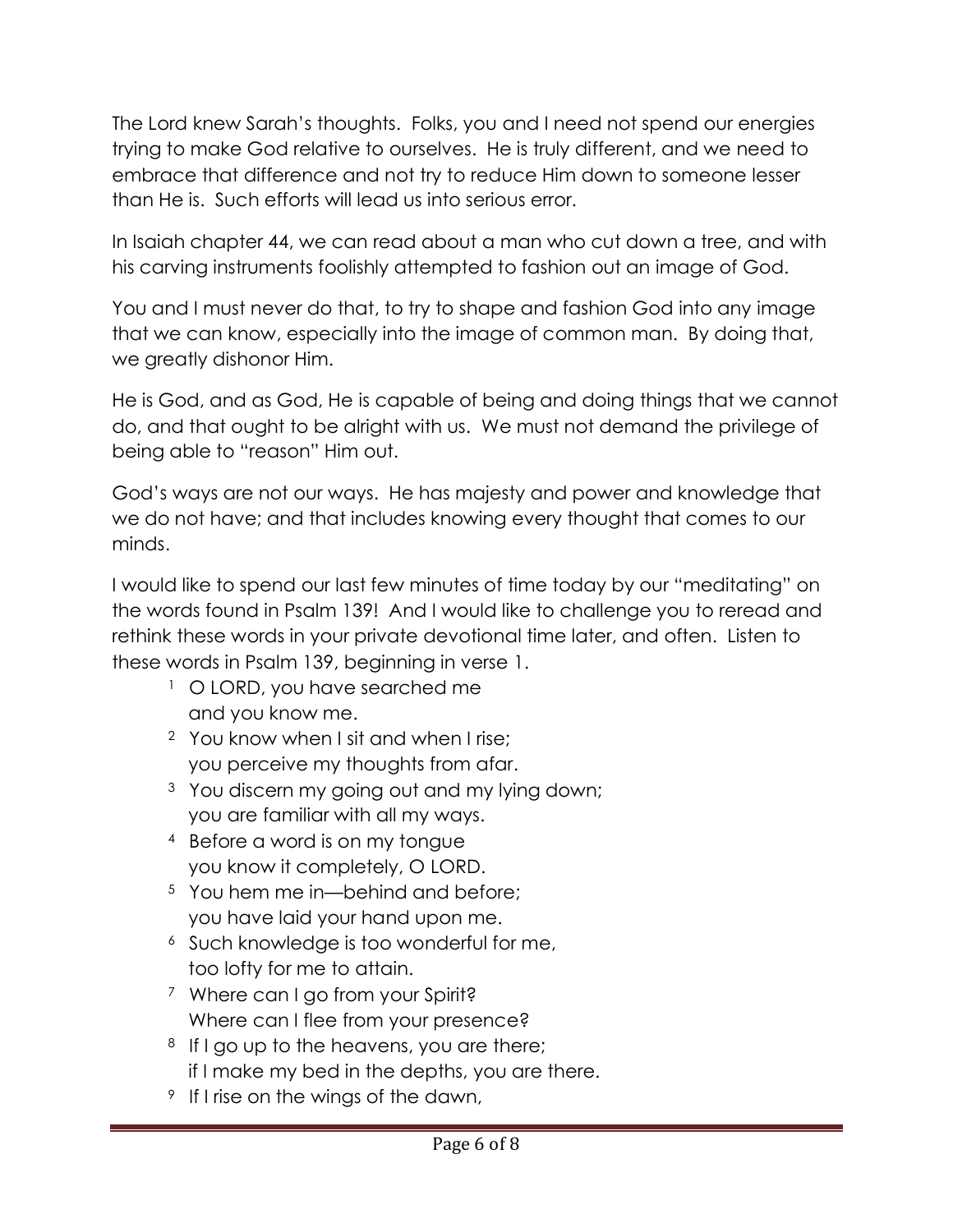The Lord knew Sarah's thoughts. Folks, you and I need not spend our energies trying to make God relative to ourselves. He is truly different, and we need to embrace that difference and not try to reduce Him down to someone lesser than He is. Such efforts will lead us into serious error.

In Isaiah chapter 44, we can read about a man who cut down a tree, and with his carving instruments foolishly attempted to fashion out an image of God.

You and I must never do that, to try to shape and fashion God into any image that we can know, especially into the image of common man. By doing that, we greatly dishonor Him.

He is God, and as God, He is capable of being and doing things that we cannot do, and that ought to be alright with us. We must not demand the privilege of being able to "reason" Him out.

God's ways are not our ways. He has majesty and power and knowledge that we do not have; and that includes knowing every thought that comes to our minds.

I would like to spend our last few minutes of time today by our "meditating" on the words found in Psalm 139! And I would like to challenge you to reread and rethink these words in your private devotional time later, and often. Listen to these words in Psalm 139, beginning in verse 1.

- <sup>1</sup> O LORD, you have searched me and you know me.
- <sup>2</sup> You know when I sit and when I rise; you perceive my thoughts from afar.
- <sup>3</sup> You discern my going out and my lying down; you are familiar with all my ways.
- <sup>4</sup> Before a word is on my tongue you know it completely, O LORD.
- <sup>5</sup> You hem me in—behind and before; you have laid your hand upon me.
- <sup>6</sup> Such knowledge is too wonderful for me, too lofty for me to attain.
- <sup>7</sup> Where can I go from your Spirit? Where can I flee from your presence?
- <sup>8</sup> If I go up to the heavens, you are there; if I make my bed in the depths, you are there.
- <sup>9</sup> If I rise on the wings of the dawn,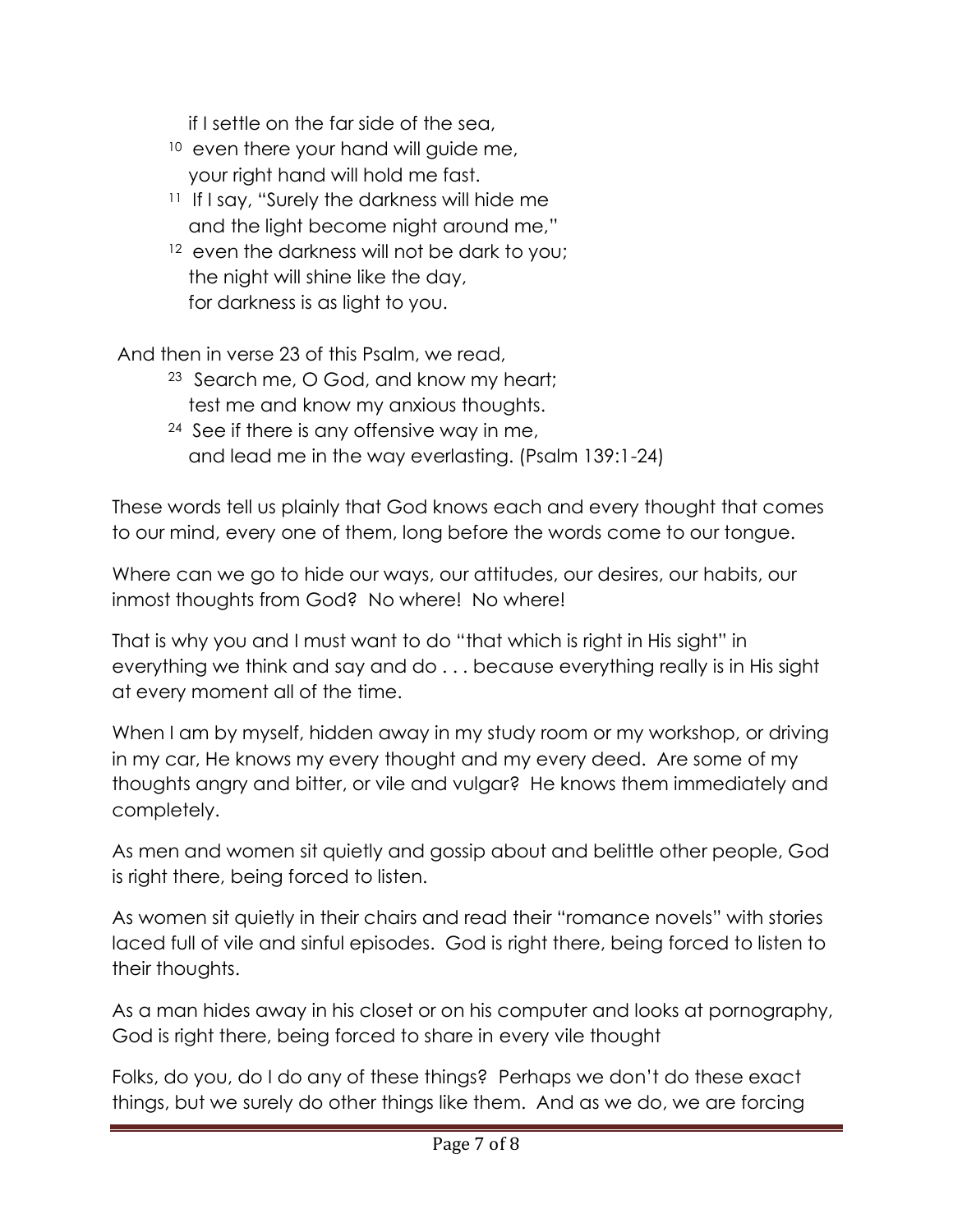if I settle on the far side of the sea,

- $10$  even there your hand will guide me, your right hand will hold me fast.
- <sup>11</sup> If I say, "Surely the darkness will hide me and the light become night around me,"
- <sup>12</sup> even the darkness will not be dark to you; the night will shine like the day, for darkness is as light to you.

And then in verse 23 of this Psalm, we read,

- <sup>23</sup> Search me, O God, and know my heart; test me and know my anxious thoughts.
- $24$  See if there is any offensive way in me, and lead me in the way everlasting. (Psalm 139:1-24)

These words tell us plainly that God knows each and every thought that comes to our mind, every one of them, long before the words come to our tongue.

Where can we go to hide our ways, our attitudes, our desires, our habits, our inmost thoughts from God? No where! No where!

That is why you and I must want to do "that which is right in His sight" in everything we think and say and do . . . because everything really is in His sight at every moment all of the time.

When I am by myself, hidden away in my study room or my workshop, or driving in my car, He knows my every thought and my every deed. Are some of my thoughts angry and bitter, or vile and vulgar? He knows them immediately and completely.

As men and women sit quietly and gossip about and belittle other people, God is right there, being forced to listen.

As women sit quietly in their chairs and read their "romance novels" with stories laced full of vile and sinful episodes. God is right there, being forced to listen to their thoughts.

As a man hides away in his closet or on his computer and looks at pornography, God is right there, being forced to share in every vile thought

Folks, do you, do I do any of these things? Perhaps we don't do these exact things, but we surely do other things like them. And as we do, we are forcing